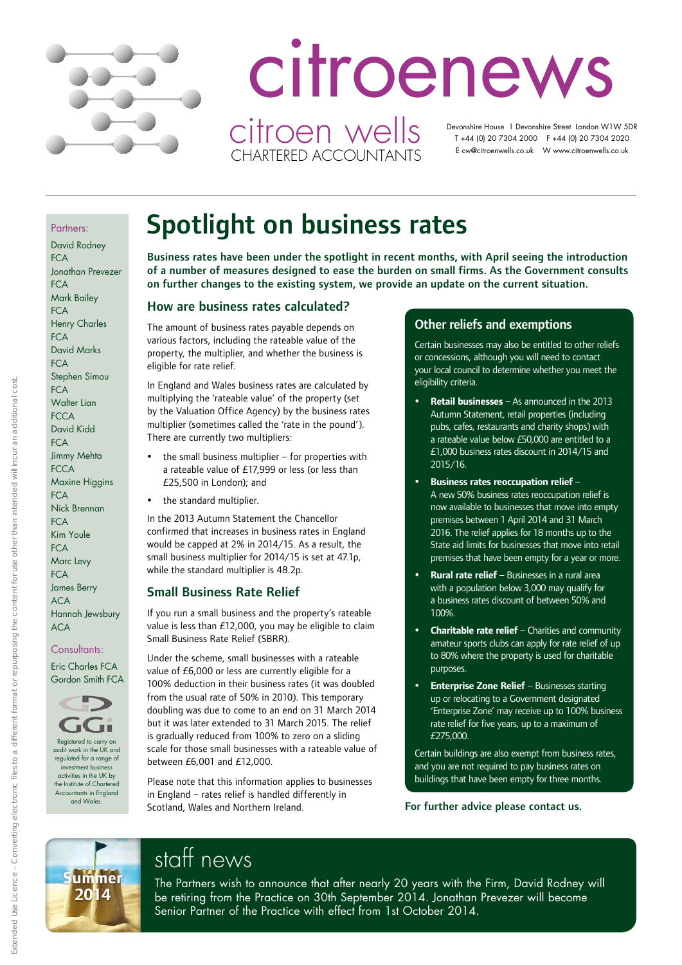

# citroenews citroen wells

CHARTERED ACCOUNTANTS

 Devonshire House 1 Devonshire Street London W1W 5DR T +44 (0) 20 7304 2000 F +44 (0) 20 7304 2020 E cw@citroenwells.co.uk W www.citroenwells.co.uk

#### Partners:

David Rodney  $FCA$ Jonathan Prevezer **FCA** Mark Bailey  $FCA$ Henry Charles  $FC\Delta$ David Marks **FCA** Stephen Simou **FCA** Walter Lian **FCCA** David Kidd  $FC\Delta$ Jimmy Mehta **FCCA** Maxine Higgins **FCA** Nick Brennan **FCA** Kim Youle **FCA** Marc Levy  $FC\Delta$ James Berry ACA Hannah Jewsbury ACA

#### Consultants:

Eric Charles FCA Gordon Smith FCA



Registered to carry on audit work in the UK and regulated for a range of investment busin activities in the UK by the Institute of Charter Accountants in England and Wales.

# Spotlight on business rates

Business rates have been under the spotlight in recent months, with April seeing the introduction of a number of measures designed to ease the burden on small firms. As the Government consults on further changes to the existing system, we provide an update on the current situation.

### How are business rates calculated?

The amount of business rates payable depends on various factors, including the rateable value of the property, the multiplier, and whether the business is eligible for rate relief.

In England and Wales business rates are calculated by multiplying the 'rateable value' of the property (set by the Valuation Office Agency) by the business rates multiplier (sometimes called the 'rate in the pound'). There are currently two multipliers:

 $\bullet$  the small business multiplier – for properties with a rateable value of £17,999 or less (or less than £25,500 in London); and

the standard multiplier.

In the 2013 Autumn Statement the Chancellor confirmed that increases in business rates in England would be capped at 2% in 2014/15. As a result, the small business multiplier for 2014/15 is set at 47.1p, while the standard multiplier is 48.2p.

### Small Business Rate Relief

If you run a small business and the property's rateable value is less than £12,000, you may be eligible to claim Small Business Rate Relief (SBRR).

Under the scheme, small businesses with a rateable value of £6,000 or less are currently eligible for a 100% deduction in their business rates (it was doubled from the usual rate of 50% in 2010). This temporary doubling was due to come to an end on 31 March 2014 but it was later extended to 31 March 2015. The relief is gradually reduced from 100% to zero on a sliding scale for those small businesses with a rateable value of between £6,001 and £12,000.

Please note that this information applies to businesses in England – rates relief is handled differently in Scotland, Wales and Northern Ireland.

### Other reliefs and exemptions

Certain businesses may also be entitled to other reliefs or concessions, although you will need to contact your local council to determine whether you meet the eligibility criteria.

- **Retail businesses** As announced in the 2013 Autumn Statement, retail properties (including pubs, cafes, restaurants and charity shops) with a rateable value below £50,000 are entitled to a £1,000 business rates discount in 2014/15 and 2015/16.
- **Business rates reoccupation relief** A new 50% business rates reoccupation relief is now available to businesses that move into empty premises between 1 April 2014 and 31 March 2016. The relief applies for 18 months up to the State aid limits for businesses that move into retail premises that have been empty for a year or more.
- **Rural rate relief** Businesses in a rural area with a population below 3,000 may qualify for a business rates discount of between 50% and 100%.
- **Charitable rate relief** Charities and community amateur sports clubs can apply for rate relief of up to 80% where the property is used for charitable purposes.
- **Enterprise Zone Relief** Businesses starting up or relocating to a Government designated 'Enterprise Zone' may receive up to 100% business rate relief for five years, up to a maximum of £275,000.

Certain buildings are also exempt from business rates, and you are not required to pay business rates on buildings that have been empty for three months.

For further advice please contact us.



# staff news

The Partners wish to announce that after nearly 20 years with the Firm, David Rodney will be retiring from the Practice on 30th September 2014. Jonathan Prevezer will become Senior Partner of the Practice with effect from 1st October 2014.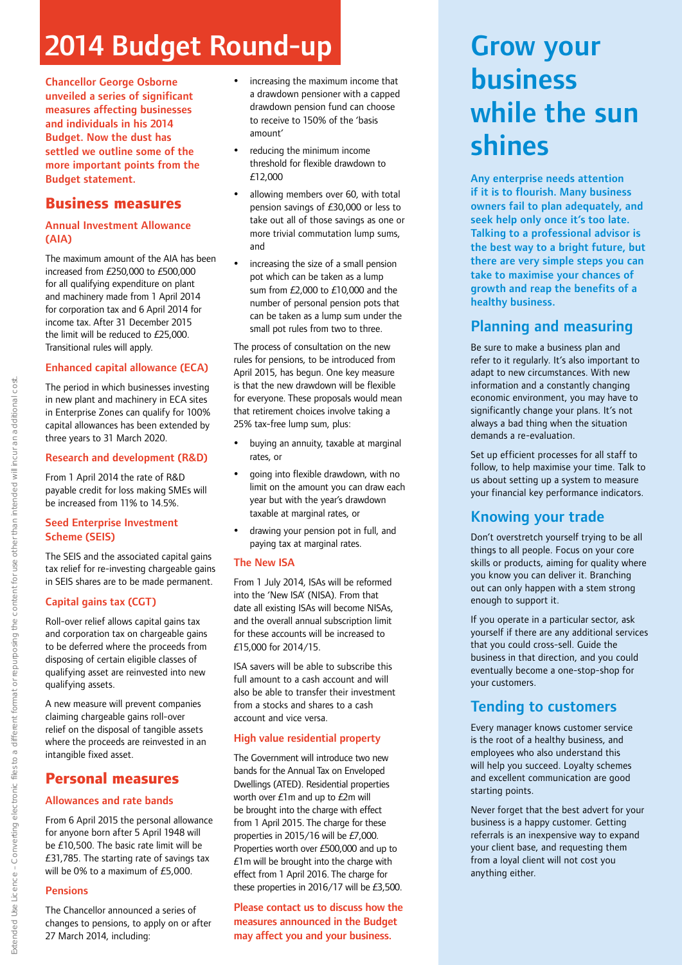# 2014 Budget Round-up

Chancellor George Osborne unveiled a series of significant measures affecting businesses and individuals in his 2014 Budget. Now the dust has settled we outline some of the more important points from the Budget statement.

### **Business measures**

### Annual Investment Allowance (AIA)

The maximum amount of the AIA has been increased from £250,000 to £500,000 for all qualifying expenditure on plant and machinery made from 1 April 2014 for corporation tax and 6 April 2014 for income tax. After 31 December 2015 the limit will be reduced to £25,000. Transitional rules will apply.

### Enhanced capital allowance (ECA)

The period in which businesses investing in new plant and machinery in ECA sites in Enterprise Zones can qualify for 100% capital allowances has been extended by three years to 31 March 2020.

### Research and development (R&D)

From 1 April 2014 the rate of R&D payable credit for loss making SMEs will be increased from 11% to 14.5%.

#### Seed Enterprise Investment Scheme (SEIS)

The SEIS and the associated capital gains tax relief for re-investing chargeable gains in SEIS shares are to be made permanent.

### Capital gains tax (CGT)

Roll-over relief allows capital gains tax and corporation tax on chargeable gains to be deferred where the proceeds from disposing of certain eligible classes of qualifying asset are reinvested into new qualifying assets.

A new measure will prevent companies claiming chargeable gains roll-over relief on the disposal of tangible assets where the proceeds are reinvested in an intangible fixed asset.

## **Personal measures**

### Allowances and rate bands

From 6 April 2015 the personal allowance for anyone born after 5 April 1948 will be £10,500. The basic rate limit will be £31,785. The starting rate of savings tax will be 0% to a maximum of £5,000.

### Pensions

The Chancellor announced a series of changes to pensions, to apply on or after 27 March 2014, including:

- increasing the maximum income that a drawdown pensioner with a capped drawdown pension fund can choose to receive to 150% of the 'basis amount'
- reducing the minimum income threshold for flexible drawdown to £12,000
- allowing members over 60, with total pension savings of £30,000 or less to take out all of those savings as one or more trivial commutation lump sums, and
- increasing the size of a small pension pot which can be taken as a lump sum from £2,000 to £10,000 and the number of personal pension pots that can be taken as a lump sum under the small pot rules from two to three.

The process of consultation on the new rules for pensions, to be introduced from April 2015, has begun. One key measure is that the new drawdown will be flexible for everyone. These proposals would mean that retirement choices involve taking a 25% tax-free lump sum, plus:

- buying an annuity, taxable at marginal rates, or
- going into flexible drawdown, with no limit on the amount you can draw each year but with the year's drawdown taxable at marginal rates, or
- drawing your pension pot in full, and paying tax at marginal rates.

### The New ISA

From 1 July 2014, ISAs will be reformed into the 'New ISA' (NISA). From that date all existing ISAs will become NISAs, and the overall annual subscription limit for these accounts will be increased to £15,000 for 2014/15.

ISA savers will be able to subscribe this full amount to a cash account and will also be able to transfer their investment from a stocks and shares to a cash account and vice versa.

### High value residential property

The Government will introduce two new bands for the Annual Tax on Enveloped Dwellings (ATED). Residential properties worth over £1m and up to £2m will be brought into the charge with effect from 1 April 2015. The charge for these properties in 2015/16 will be £7,000. Properties worth over £500,000 and up to £1m will be brought into the charge with effect from 1 April 2016. The charge for these properties in 2016/17 will be £3,500.

Please contact us to discuss how the measures announced in the Budget may affect you and your business.

# Grow your business while the sun shines

Any enterprise needs attention if it is to flourish. Many business owners fail to plan adequately, and seek help only once it's too late. Talking to a professional advisor is the best way to a bright future, but there are very simple steps you can take to maximise your chances of growth and reap the benefits of a healthy business.

# Planning and measuring

Be sure to make a business plan and refer to it regularly. It's also important to adapt to new circumstances. With new information and a constantly changing economic environment, you may have to significantly change your plans. It's not always a bad thing when the situation demands a re-evaluation.

Set up efficient processes for all staff to follow, to help maximise your time. Talk to us about setting up a system to measure your financial key performance indicators.

# Knowing your trade

Don't overstretch yourself trying to be all things to all people. Focus on your core skills or products, aiming for quality where you know you can deliver it. Branching out can only happen with a stem strong enough to support it.

If you operate in a particular sector, ask yourself if there are any additional services that you could cross-sell. Guide the business in that direction, and you could eventually become a one-stop-shop for your customers.

# Tending to customers

Every manager knows customer service is the root of a healthy business, and employees who also understand this will help you succeed. Loyalty schemes and excellent communication are good starting points.

Never forget that the best advert for your business is a happy customer. Getting referrals is an inexpensive way to expand your client base, and requesting them from a loyal client will not cost you anything either.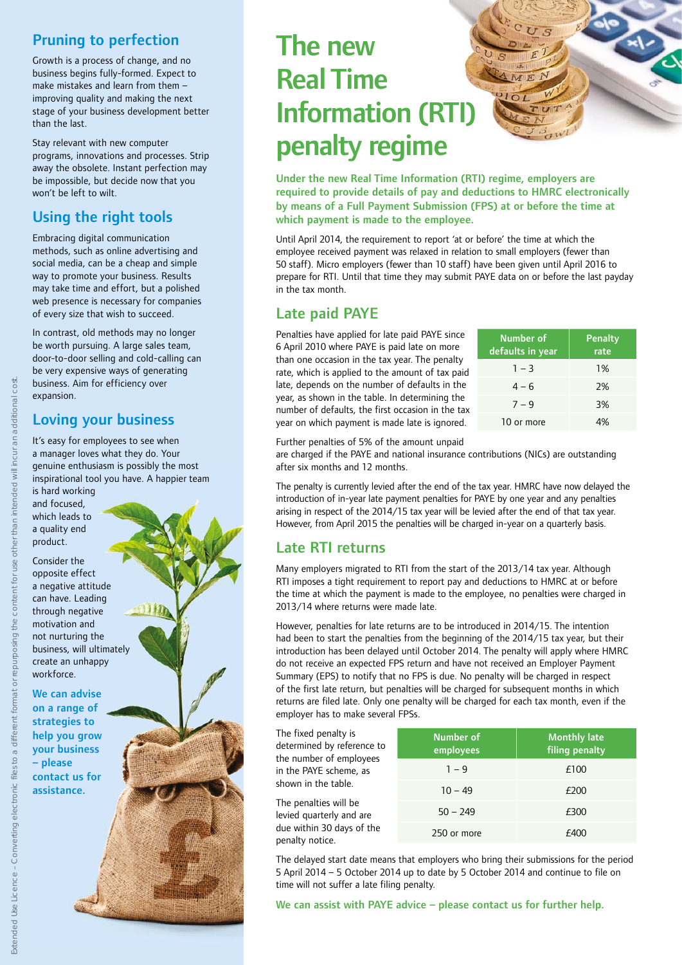# Pruning to perfection

Growth is a process of change, and no business begins fully-formed. Expect to make mistakes and learn from them – improving quality and making the next stage of your business development better than the last.

Stay relevant with new computer programs, innovations and processes. Strip away the obsolete. Instant perfection may be impossible, but decide now that you won't be left to wilt.

# Using the right tools

Embracing digital communication methods, such as online advertising and social media, can be a cheap and simple way to promote your business. Results may take time and effort, but a polished web presence is necessary for companies of every size that wish to succeed.

In contrast, old methods may no longer be worth pursuing. A large sales team, door-to-door selling and cold-calling can be very expensive ways of generating business. Aim for efficiency over expansion.

# Loving your business

It's easy for employees to see when a manager loves what they do. Your genuine enthusiasm is possibly the most inspirational tool you have. A happier team

is hard working and focused, which leads to a quality end product.

Consider the opposite effect a negative attitude can have. Leading through negative motivation and not nurturing the business, will ultimately create an unhappy workforce.

We can advise on a range of strategies to help you grow your business – please contact us for assistance.

# The new Real Time Information (RTI) penalty regime

Under the new Real Time Information (RTI) regime, employers are required to provide details of pay and deductions to HMRC electronically by means of a Full Payment Submission (FPS) at or before the time at which payment is made to the employee.

Until April 2014, the requirement to report 'at or before' the time at which the employee received payment was relaxed in relation to small employers (fewer than 50 staff). Micro employers (fewer than 10 staff) have been given until April 2016 to prepare for RTI. Until that time they may submit PAYE data on or before the last payday in the tax month.

# Late paid PAYE

Penalties have applied for late paid PAYE since 6 April 2010 where PAYE is paid late on more than one occasion in the tax year. The penalty rate, which is applied to the amount of tax paid late, depends on the number of defaults in the year, as shown in the table. In determining the number of defaults, the first occasion in the tax year on which payment is made late is ignored.

| <b>Number of</b><br>defaults in year | <b>Penalty</b><br>rate |  |
|--------------------------------------|------------------------|--|
| $1 - 3$                              | 1%                     |  |
| $4 - 6$                              | 2%                     |  |
| $7 - 9$                              | 3%                     |  |
| 10 or more                           |                        |  |

Further penalties of 5% of the amount unpaid

are charged if the PAYE and national insurance contributions (NICs) are outstanding after six months and 12 months.

The penalty is currently levied after the end of the tax year. HMRC have now delayed the introduction of in-year late payment penalties for PAYE by one year and any penalties arising in respect of the 2014/15 tax year will be levied after the end of that tax year. However, from April 2015 the penalties will be charged in-year on a quarterly basis.

# Late RTI returns

Many employers migrated to RTI from the start of the 2013/14 tax year. Although RTI imposes a tight requirement to report pay and deductions to HMRC at or before the time at which the payment is made to the employee, no penalties were charged in 2013/14 where returns were made late.

However, penalties for late returns are to be introduced in 2014/15. The intention had been to start the penalties from the beginning of the 2014/15 tax year, but their introduction has been delayed until October 2014. The penalty will apply where HMRC do not receive an expected FPS return and have not received an Employer Payment Summary (EPS) to notify that no FPS is due. No penalty will be charged in respect of the first late return, but penalties will be charged for subsequent months in which returns are filed late. Only one penalty will be charged for each tax month, even if the employer has to make several FPSs.

The fixed penalty is determined by refer the number of empl in the PAYE scheme. shown in the table.

The penalties will be levied quarterly and due within 30 days penalty notice.

| ence to<br>loyees<br>, as<br>e<br>are<br>of the | Number of<br>employees | <b>Monthly late</b><br>filing penalty |  |
|-------------------------------------------------|------------------------|---------------------------------------|--|
|                                                 | $1 - 9$                | £100                                  |  |
|                                                 | $10 - 49$              | £200                                  |  |
|                                                 | $50 - 249$             | £300                                  |  |
|                                                 | 250 or more            | £400                                  |  |

The delayed start date means that employers who bring their submissions for the period 5 April 2014 – 5 October 2014 up to date by 5 October 2014 and continue to file on time will not suffer a late filing penalty.

#### We can assist with PAYE advice – please contact us for further help.